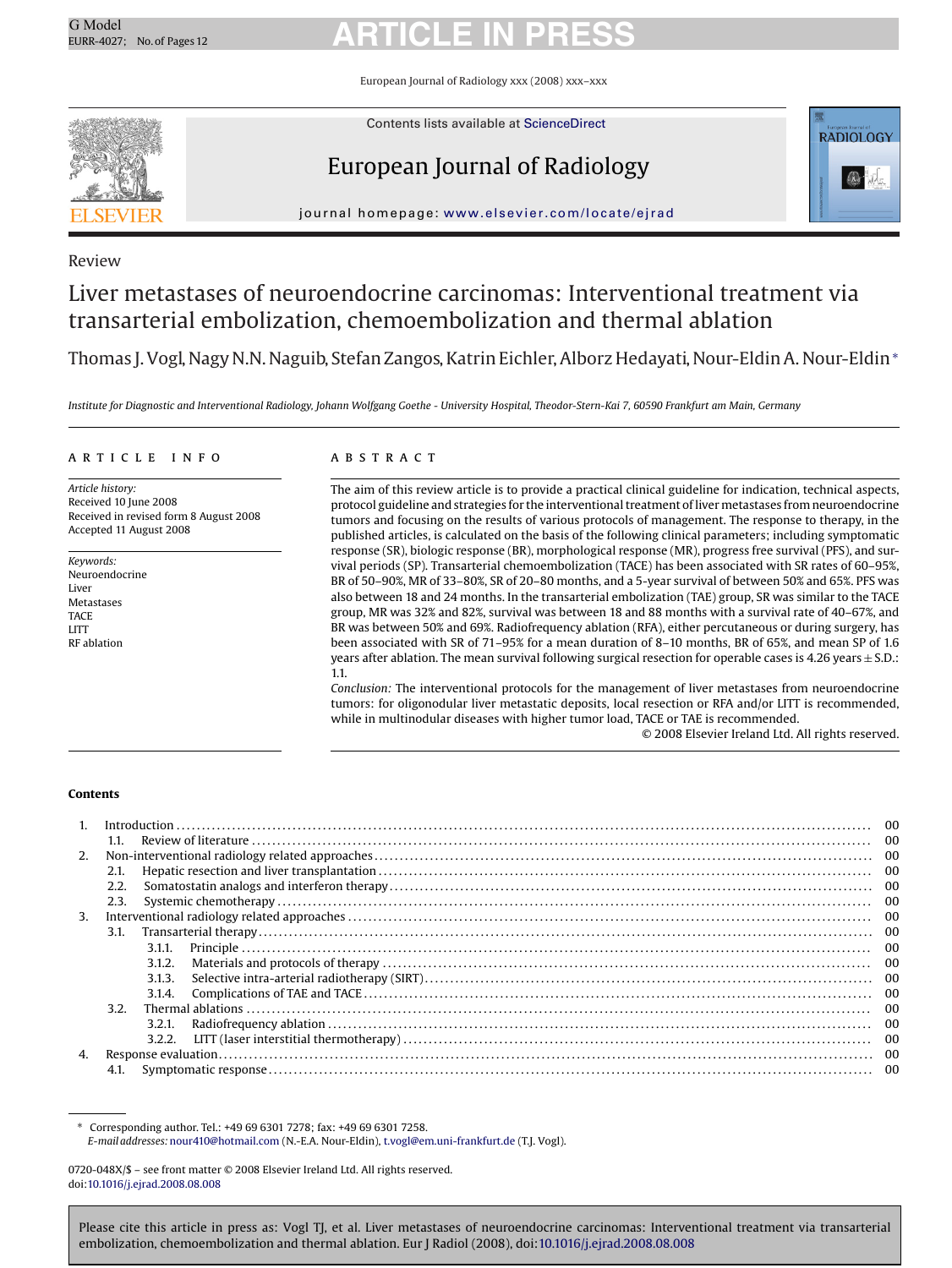European Journal of Radiology xxx (2008) xxx–xxx



Contents lists available at [ScienceDirect](http://www.sciencedirect.com/science/journal/0720048X)

### European Journal of Radiology



journal homepage: [www.elsevier.com/locate/ejrad](http://www.elsevier.com/locate/ejrad)

### Review

### Liver metastases of neuroendocrine carcinomas: Interventional treatment via transarterial embolization, chemoembolization and thermal ablation

Thomas J. Vogl, Nagy N.N. Naguib, Stefan Zangos, Katrin Eichler, Alborz Hedayati, Nour-Eldin A. Nour-Eldin<sup>∗</sup>

*Institute for Diagnostic and Interventional Radiology, Johann Wolfgang Goethe - University Hospital, Theodor-Stern-Kai 7, 60590 Frankfurt am Main, Germany*

#### article info

*Article history:* Received 10 June 2008 Received in revised form 8 August 2008 Accepted 11 August 2008

*Keywords:* Neuroendocrine Liver **Metastases** TACE LITT RF ablation

#### **ABSTRACT**

The aim of this review article is to provide a practical clinical guideline for indication, technical aspects, protocol guideline and strategies for the interventional treatment of liver metastases from neuroendocrine tumors and focusing on the results of various protocols of management. The response to therapy, in the published articles, is calculated on the basis of the following clinical parameters; including symptomatic response (SR), biologic response (BR), morphological response (MR), progress free survival (PFS), and survival periods (SP). Transarterial chemoembolization (TACE) has been associated with SR rates of 60–95%, BR of 50–90%, MR of 33–80%, SR of 20–80 months, and a 5-year survival of between 50% and 65%. PFS was also between 18 and 24 months. In the transarterial embolization (TAE) group, SR was similar to the TACE group, MR was 32% and 82%, survival was between 18 and 88 months with a survival rate of 40–67%, and BR was between 50% and 69%. Radiofrequency ablation (RFA), either percutaneous or during surgery, has been associated with SR of 71–95% for a mean duration of 8–10 months, BR of 65%, and mean SP of 1.6 years after ablation. The mean survival following surgical resection for operable cases is 4.26 years ± S.D.: 1.1.

*Conclusion:* The interventional protocols for the management of liver metastases from neuroendocrine tumors: for oligonodular liver metastatic deposits, local resection or RFA and/or LITT is recommended, while in multinodular diseases with higher tumor load, TACE or TAE is recommended.

© 2008 Elsevier Ireland Ltd. All rights reserved.

#### **Contents**

| 1 <sub>1</sub> |      |        |  |  |  |  |  |
|----------------|------|--------|--|--|--|--|--|
|                | 1.1. |        |  |  |  |  |  |
| 2.             |      |        |  |  |  |  |  |
| 2.1.           |      |        |  |  |  |  |  |
|                | 2.2. |        |  |  |  |  |  |
|                | 2.3. |        |  |  |  |  |  |
| 3.             |      |        |  |  |  |  |  |
|                |      |        |  |  |  |  |  |
|                |      | 3.1.1. |  |  |  |  |  |
|                |      | 3.1.2. |  |  |  |  |  |
|                |      | 3.1.3. |  |  |  |  |  |
|                |      | 3.1.4. |  |  |  |  |  |
| 3.2.           |      |        |  |  |  |  |  |
|                |      | 3.2.1. |  |  |  |  |  |
|                |      | 3.2.2. |  |  |  |  |  |
| 4.             |      |        |  |  |  |  |  |
|                | 4.1. |        |  |  |  |  |  |

∗ Corresponding author. Tel.: +49 69 6301 7278; fax: +49 69 6301 7258. *E-mail addresses:*[nour410@hotmail.com](mailto:nour410@hotmail.com) (N.-E.A. Nour-Eldin), [t.vogl@em.uni-frankfurt.de](mailto:t.vogl@em.uni-frankfurt.de) (T.J. Vogl).

<sup>0720-048</sup>X/\$ – see front matter © 2008 Elsevier Ireland Ltd. All rights reserved. doi:[10.1016/j.ejrad.2008.08.008](dx.doi.org/10.1016/j.ejrad.2008.08.008)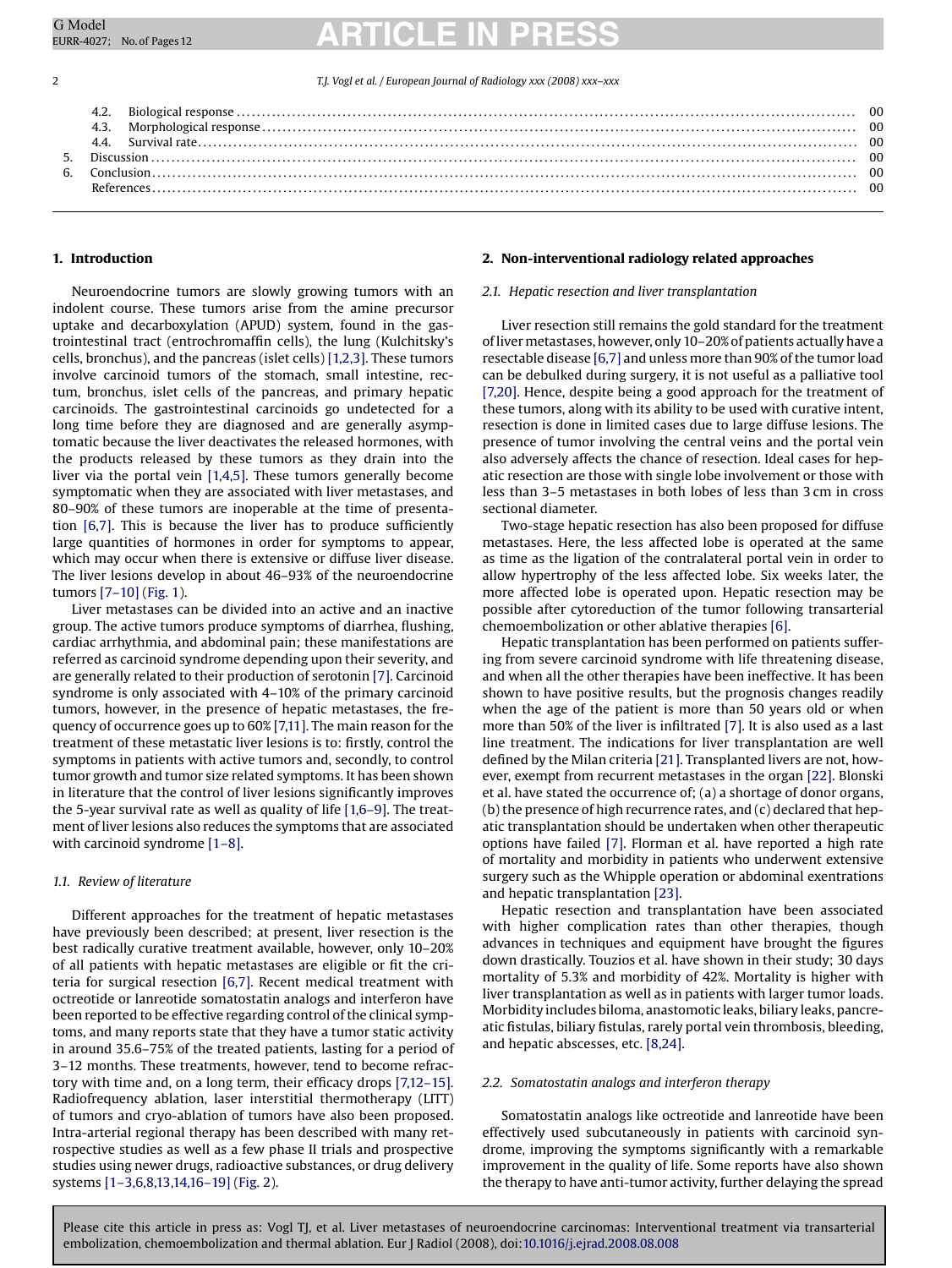2 *T.J. Vogl et al. / European Journal of Radiology xxx (2008) xxx–xxx*

### **1. Introduction**

Neuroendocrine tumors are slowly growing tumors with an indolent course. These tumors arise from the amine precursor uptake and decarboxylation (APUD) system, found in the gastrointestinal tract (entrochromaffin cells), the lung (Kulchitsky's cells, bronchus), and the pancreas (islet cells) [\[1,2,3\]. T](#page-10-0)hese tumors involve carcinoid tumors of the stomach, small intestine, rectum, bronchus, islet cells of the pancreas, and primary hepatic carcinoids. The gastrointestinal carcinoids go undetected for a long time before they are diagnosed and are generally asymptomatic because the liver deactivates the released hormones, with the products released by these tumors as they drain into the liver via the portal vein [\[1,4,5\]. T](#page-10-0)hese tumors generally become symptomatic when they are associated with liver metastases, and 80–90% of these tumors are inoperable at the time of presentation [\[6,7\].](#page-10-0) This is because the liver has to produce sufficiently large quantities of hormones in order for symptoms to appear, which may occur when there is extensive or diffuse liver disease. The liver lesions develop in about 46–93% of the neuroendocrine tumors [\[7–10\]](#page-10-0) [\(Fig. 1\).](#page-2-0)

Liver metastases can be divided into an active and an inactive group. The active tumors produce symptoms of diarrhea, flushing, cardiac arrhythmia, and abdominal pain; these manifestations are referred as carcinoid syndrome depending upon their severity, and are generally related to their production of serotonin [\[7\]. C](#page-10-0)arcinoid syndrome is only associated with 4–10% of the primary carcinoid tumors, however, in the presence of hepatic metastases, the frequency of occurrence goes up to 60% [\[7,11\]. T](#page-10-0)he main reason for the treatment of these metastatic liver lesions is to: firstly, control the symptoms in patients with active tumors and, secondly, to control tumor growth and tumor size related symptoms. It has been shown in literature that the control of liver lesions significantly improves the 5-year survival rate as well as quality of life [\[1,6–9\]. T](#page-10-0)he treatment of liver lesions also reduces the symptoms that are associated with carcinoid syndrome [\[1–8\].](#page-10-0)

#### *1.1. Review of literature*

Different approaches for the treatment of hepatic metastases have previously been described; at present, liver resection is the best radically curative treatment available, however, only 10–20% of all patients with hepatic metastases are eligible or fit the criteria for surgical resection [\[6,7\]. R](#page-10-0)ecent medical treatment with octreotide or lanreotide somatostatin analogs and interferon have been reported to be effective regarding control of the clinical symptoms, and many reports state that they have a tumor static activity in around 35.6–75% of the treated patients, lasting for a period of 3–12 months. These treatments, however, tend to become refractory with time and, on a long term, their efficacy drops [\[7,12–15\].](#page-10-0) Radiofrequency ablation, laser interstitial thermotherapy (LITT) of tumors and cryo-ablation of tumors have also been proposed. Intra-arterial regional therapy has been described with many retrospective studies as well as a few phase II trials and prospective studies using newer drugs, radioactive substances, or drug delivery systems [\[1–3,6,8,13,14,16–19\]](#page-10-0) [\(Fig. 2\).](#page-3-0)

#### **2. Non-interventional radiology related approaches**

#### *2.1. Hepatic resection and liver transplantation*

Liver resection still remains the gold standard for the treatment of livermetastases, however, only 10–20% of patients actually have a resectable disease [\[6,7\]](#page-10-0) and unless more than 90% of the tumor load can be debulked during surgery, it is not useful as a palliative tool [\[7,20\]. H](#page-10-0)ence, despite being a good approach for the treatment of these tumors, along with its ability to be used with curative intent, resection is done in limited cases due to large diffuse lesions. The presence of tumor involving the central veins and the portal vein also adversely affects the chance of resection. Ideal cases for hepatic resection are those with single lobe involvement or those with less than 3–5 metastases in both lobes of less than 3 cm in cross sectional diameter.

Two-stage hepatic resection has also been proposed for diffuse metastases. Here, the less affected lobe is operated at the same as time as the ligation of the contralateral portal vein in order to allow hypertrophy of the less affected lobe. Six weeks later, the more affected lobe is operated upon. Hepatic resection may be possible after cytoreduction of the tumor following transarterial chemoembolization or other ablative therapies [\[6\].](#page-10-0)

Hepatic transplantation has been performed on patients suffering from severe carcinoid syndrome with life threatening disease, and when all the other therapies have been ineffective. It has been shown to have positive results, but the prognosis changes readily when the age of the patient is more than 50 years old or when more than 50% of the liver is infiltrated [\[7\]. I](#page-10-0)t is also used as a last line treatment. The indications for liver transplantation are well defined by the Milan criteria [\[21\]. T](#page-10-0)ransplanted livers are not, however, exempt from recurrent metastases in the organ [\[22\]. B](#page-10-0)lonski et al. have stated the occurrence of; (a) a shortage of donor organs, (b) the presence of high recurrence rates, and (c) declared that hepatic transplantation should be undertaken when other therapeutic options have failed [\[7\].](#page-10-0) Florman et al. have reported a high rate of mortality and morbidity in patients who underwent extensive surgery such as the Whipple operation or abdominal exentrations and hepatic transplantation [\[23\].](#page-10-0)

Hepatic resection and transplantation have been associated with higher complication rates than other therapies, though advances in techniques and equipment have brought the figures down drastically. Touzios et al. have shown in their study; 30 days mortality of 5.3% and morbidity of 42%. Mortality is higher with liver transplantation as well as in patients with larger tumor loads. Morbidity includes biloma, anastomotic leaks, biliary leaks, pancreatic fistulas, biliary fistulas, rarely portal vein thrombosis, bleeding, and hepatic abscesses, etc. [\[8,24\].](#page-10-0)

#### *2.2. Somatostatin analogs and interferon therapy*

Somatostatin analogs like octreotide and lanreotide have been effectively used subcutaneously in patients with carcinoid syndrome, improving the symptoms significantly with a remarkable improvement in the quality of life. Some reports have also shown the therapy to have anti-tumor activity, further delaying the spread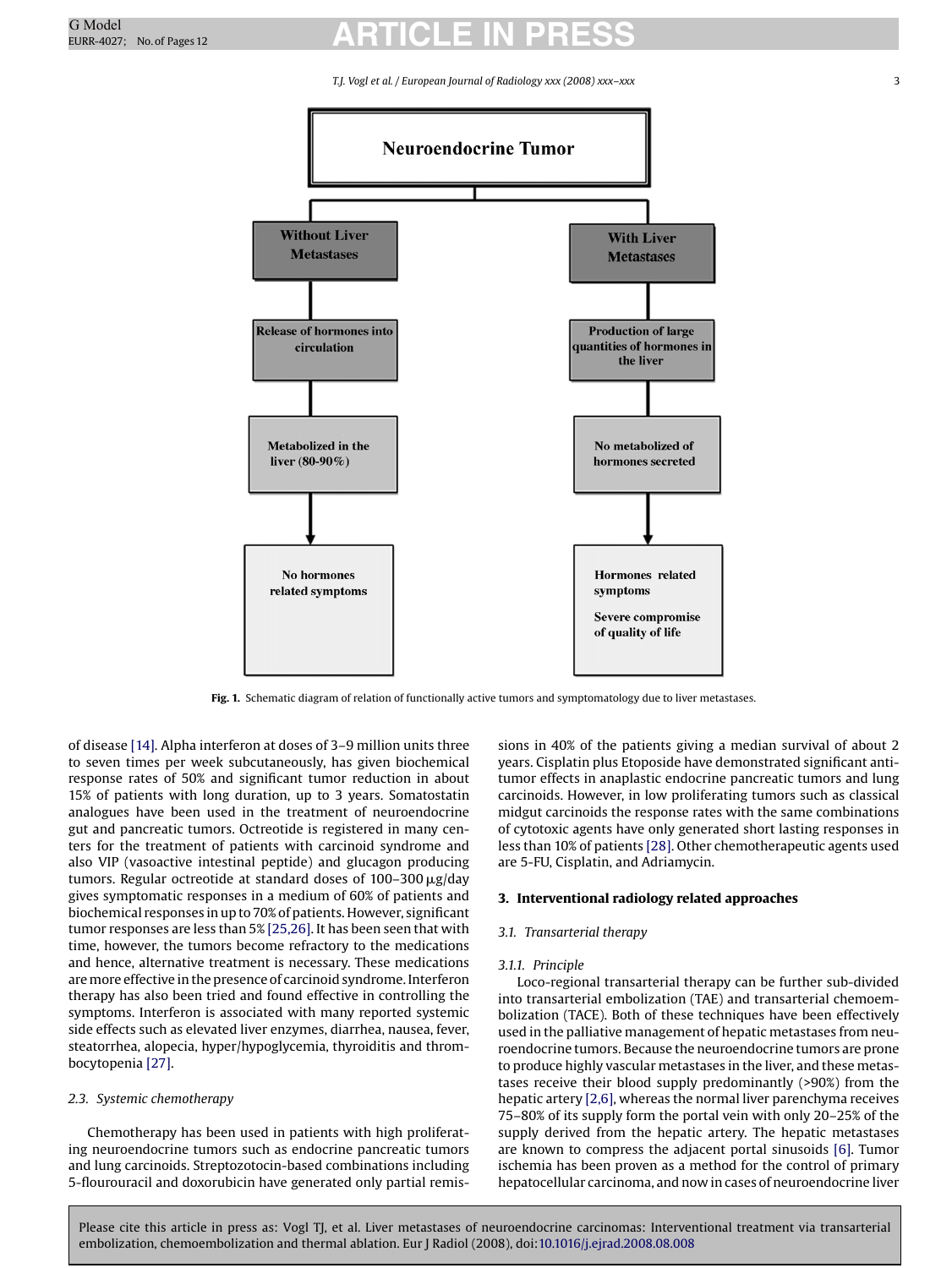*T.J. Vogl et al. / European Journal of Radiology xxx (2008) xxx–xxx* 3

<span id="page-2-0"></span>

**Fig. 1.** Schematic diagram of relation of functionally active tumors and symptomatology due to liver metastases.

of disease [\[14\]. A](#page-10-0)lpha interferon at doses of 3–9 million units three to seven times per week subcutaneously, has given biochemical response rates of 50% and significant tumor reduction in about 15% of patients with long duration, up to 3 years. Somatostatin analogues have been used in the treatment of neuroendocrine gut and pancreatic tumors. Octreotide is registered in many centers for the treatment of patients with carcinoid syndrome and also VIP (vasoactive intestinal peptide) and glucagon producing tumors. Regular octreotide at standard doses of 100–300 µg/day gives symptomatic responses in a medium of 60% of patients and biochemical responses in up to 70% of patients. However, significant tumor responses are less than 5% [\[25,26\]. I](#page-10-0)t has been seen that with time, however, the tumors become refractory to the medications and hence, alternative treatment is necessary. These medications aremore effective in the presence of carcinoid syndrome. Interferon therapy has also been tried and found effective in controlling the symptoms. Interferon is associated with many reported systemic side effects such as elevated liver enzymes, diarrhea, nausea, fever, steatorrhea, alopecia, hyper/hypoglycemia, thyroiditis and thrombocytopenia [\[27\].](#page-10-0)

#### *2.3. Systemic chemotherapy*

Chemotherapy has been used in patients with high proliferating neuroendocrine tumors such as endocrine pancreatic tumors and lung carcinoids. Streptozotocin-based combinations including 5-flourouracil and doxorubicin have generated only partial remissions in 40% of the patients giving a median survival of about 2 years. Cisplatin plus Etoposide have demonstrated significant antitumor effects in anaplastic endocrine pancreatic tumors and lung carcinoids. However, in low proliferating tumors such as classical midgut carcinoids the response rates with the same combinations of cytotoxic agents have only generated short lasting responses in less than 10% of patients [\[28\]. O](#page-10-0)ther chemotherapeutic agents used are 5-FU, Cisplatin, and Adriamycin.

#### **3. Interventional radiology related approaches**

#### *3.1. Transarterial therapy*

#### *3.1.1. Principle*

Loco-regional transarterial therapy can be further sub-divided into transarterial embolization (TAE) and transarterial chemoembolization (TACE). Both of these techniques have been effectively used in the palliative management of hepatic metastases from neuroendocrine tumors. Because the neuroendocrine tumors are prone to produce highly vascular metastases in the liver, and these metastases receive their blood supply predominantly (>90%) from the hepatic artery [\[2,6\], w](#page-10-0)hereas the normal liver parenchyma receives 75–80% of its supply form the portal vein with only 20–25% of the supply derived from the hepatic artery. The hepatic metastases are known to compress the adjacent portal sinusoids [\[6\]. T](#page-10-0)umor ischemia has been proven as a method for the control of primary hepatocellular carcinoma, and now in cases of neuroendocrine liver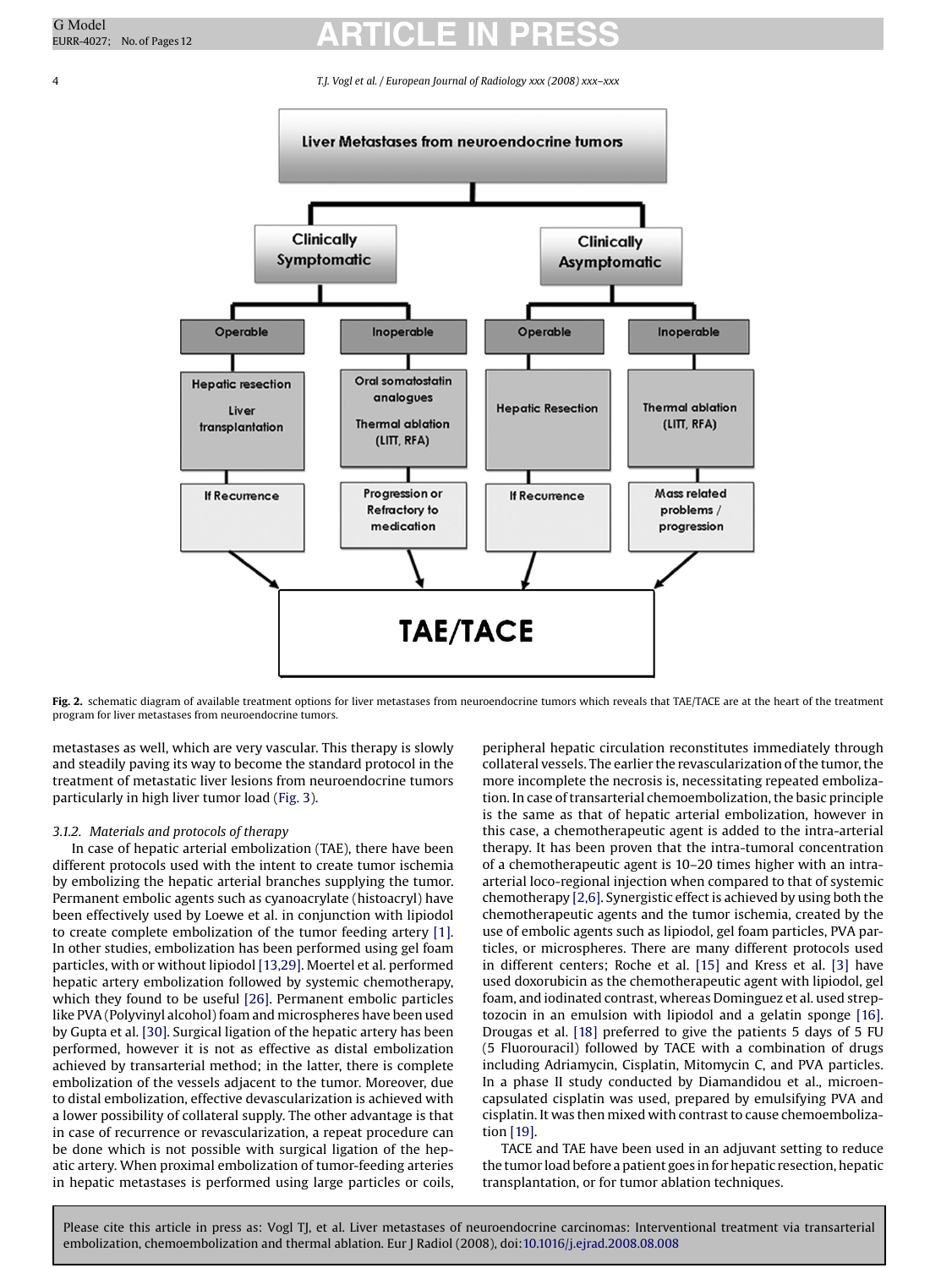<span id="page-3-0"></span>4 *T.J. Vogl et al. / European Journal of Radiology xxx (2008) xxx–xxx*



Fig. 2. schematic diagram of available treatment options for liver metastases from neuroendocrine tumors which reveals that TAE/TACE are at the heart of the treatment program for liver metastases from neuroendocrine tumors.

metastases as well, which are very vascular. This therapy is slowly and steadily paving its way to become the standard protocol in the treatment of metastatic liver lesions from neuroendocrine tumors particularly in high liver tumor load [\(Fig. 3\).](#page-4-0)

#### *3.1.2. Materials and protocols of therapy*

In case of hepatic arterial embolization (TAE), there have been different protocols used with the intent to create tumor ischemia by embolizing the hepatic arterial branches supplying the tumor. Permanent embolic agents such as cyanoacrylate (histoacryl) have been effectively used by Loewe et al. in conjunction with lipiodol to create complete embolization of the tumor feeding artery [\[1\].](#page-10-0) In other studies, embolization has been performed using gel foam particles, with or without lipiodol [\[13,29\]. M](#page-10-0)oertel et al. performed hepatic artery embolization followed by systemic chemotherapy, which they found to be useful [\[26\].](#page-10-0) Permanent embolic particles like PVA (Polyvinyl alcohol) foam and microspheres have been used by Gupta et al. [\[30\]. S](#page-10-0)urgical ligation of the hepatic artery has been performed, however it is not as effective as distal embolization achieved by transarterial method; in the latter, there is complete embolization of the vessels adjacent to the tumor. Moreover, due to distal embolization, effective devascularization is achieved with a lower possibility of collateral supply. The other advantage is that in case of recurrence or revascularization, a repeat procedure can be done which is not possible with surgical ligation of the hepatic artery. When proximal embolization of tumor-feeding arteries in hepatic metastases is performed using large particles or coils, peripheral hepatic circulation reconstitutes immediately through collateral vessels. The earlier the revascularization of the tumor, the more incomplete the necrosis is, necessitating repeated embolization. In case of transarterial chemoembolization, the basic principle is the same as that of hepatic arterial embolization, however in this case, a chemotherapeutic agent is added to the intra-arterial therapy. It has been proven that the intra-tumoral concentration of a chemotherapeutic agent is 10–20 times higher with an intraarterial loco-regional injection when compared to that of systemic chemotherapy [\[2,6\]. S](#page-10-0)ynergistic effect is achieved by using both the chemotherapeutic agents and the tumor ischemia, created by the use of embolic agents such as lipiodol, gel foam particles, PVA particles, or microspheres. There are many different protocols used in different centers; Roche et al. [\[15\]](#page-10-0) and Kress et al. [\[3\]](#page-10-0) have used doxorubicin as the chemotherapeutic agent with lipiodol, gel foam, and iodinated contrast, whereas Dominguez et al. used streptozocin in an emulsion with lipiodol and a gelatin sponge [\[16\].](#page-10-0) Drougas et al. [\[18\]](#page-10-0) preferred to give the patients 5 days of 5 FU (5 Fluorouracil) followed by TACE with a combination of drugs including Adriamycin, Cisplatin, Mitomycin C, and PVA particles. In a phase II study conducted by Diamandidou et al., microencapsulated cisplatin was used, prepared by emulsifying PVA and cisplatin. It was then mixed with contrast to cause chemoembolization [\[19\].](#page-10-0)

TACE and TAE have been used in an adjuvant setting to reduce the tumor load before a patient goes in for hepatic resection, hepatic transplantation, or for tumor ablation techniques.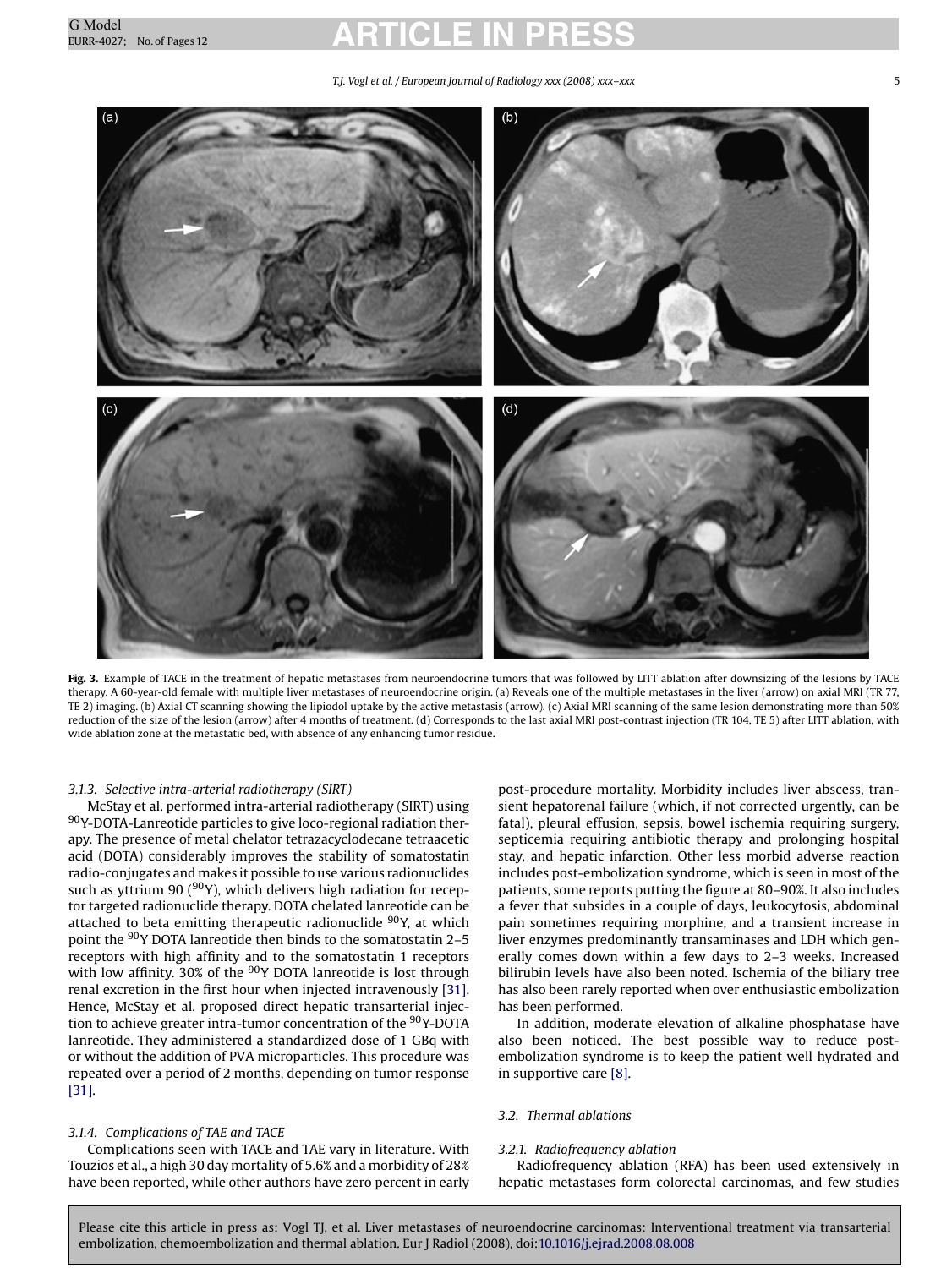*T.J. Vogl et al. / European Journal of Radiology xxx (2008) xxx–xxx* 5

<span id="page-4-0"></span>

**Fig. 3.** Example of TACE in the treatment of hepatic metastases from neuroendocrine tumors that was followed by LITT ablation after downsizing of the lesions by TACE therapy. A 60-year-old female with multiple liver metastases of neuroendocrine origin. (a) Reveals one of the multiple metastases in the liver (arrow) on axial MRI (TR 77, TE 2) imaging. (b) Axial CT scanning showing the lipiodol uptake by the active metastasis (arrow). (c) Axial MRI scanning of the same lesion demonstrating more than 50% reduction of the size of the lesion (arrow) after 4 months of treatment. (d) Corresponds to the last axial MRI post-contrast injection (TR 104, TE 5) after LITT ablation, with wide ablation zone at the metastatic bed, with absence of any enhancing tumor residue.

#### *3.1.3. Selective intra-arterial radiotherapy (SIRT)*

McStay et al. performed intra-arterial radiotherapy (SIRT) using 90Y-DOTA-Lanreotide particles to give loco-regional radiation therapy. The presence of metal chelator tetrazacyclodecane tetraacetic acid (DOTA) considerably improves the stability of somatostatin radio-conjugates and makes it possible to use various radionuclides such as yttrium 90 ( $90Y$ ), which delivers high radiation for receptor targeted radionuclide therapy. DOTA chelated lanreotide can be attached to beta emitting therapeutic radionuclide <sup>90</sup>Y, at which point the 90Y DOTA lanreotide then binds to the somatostatin 2–5 receptors with high affinity and to the somatostatin 1 receptors with low affinity. 30% of the <sup>90</sup>Y DOTA lanreotide is lost through renal excretion in the first hour when injected intravenously [\[31\].](#page-10-0) Hence, McStay et al. proposed direct hepatic transarterial injection to achieve greater intra-tumor concentration of the 90Y-DOTA lanreotide. They administered a standardized dose of 1 GBq with or without the addition of PVA microparticles. This procedure was repeated over a period of 2 months, depending on tumor response [\[31\].](#page-10-0)

#### *3.1.4. Complications of TAE and TACE*

Complications seen with TACE and TAE vary in literature. With Touzios et al., a high 30 day mortality of 5.6% and a morbidity of 28% have been reported, while other authors have zero percent in early post-procedure mortality. Morbidity includes liver abscess, transient hepatorenal failure (which, if not corrected urgently, can be fatal), pleural effusion, sepsis, bowel ischemia requiring surgery, septicemia requiring antibiotic therapy and prolonging hospital stay, and hepatic infarction. Other less morbid adverse reaction includes post-embolization syndrome, which is seen in most of the patients, some reports putting the figure at 80–90%. It also includes a fever that subsides in a couple of days, leukocytosis, abdominal pain sometimes requiring morphine, and a transient increase in liver enzymes predominantly transaminases and LDH which generally comes down within a few days to 2–3 weeks. Increased bilirubin levels have also been noted. Ischemia of the biliary tree has also been rarely reported when over enthusiastic embolization has been performed.

In addition, moderate elevation of alkaline phosphatase have also been noticed. The best possible way to reduce postembolization syndrome is to keep the patient well hydrated and in supportive care [\[8\].](#page-10-0)

#### *3.2. Thermal ablations*

#### *3.2.1. Radiofrequency ablation*

Radiofrequency ablation (RFA) has been used extensively in hepatic metastases form colorectal carcinomas, and few studies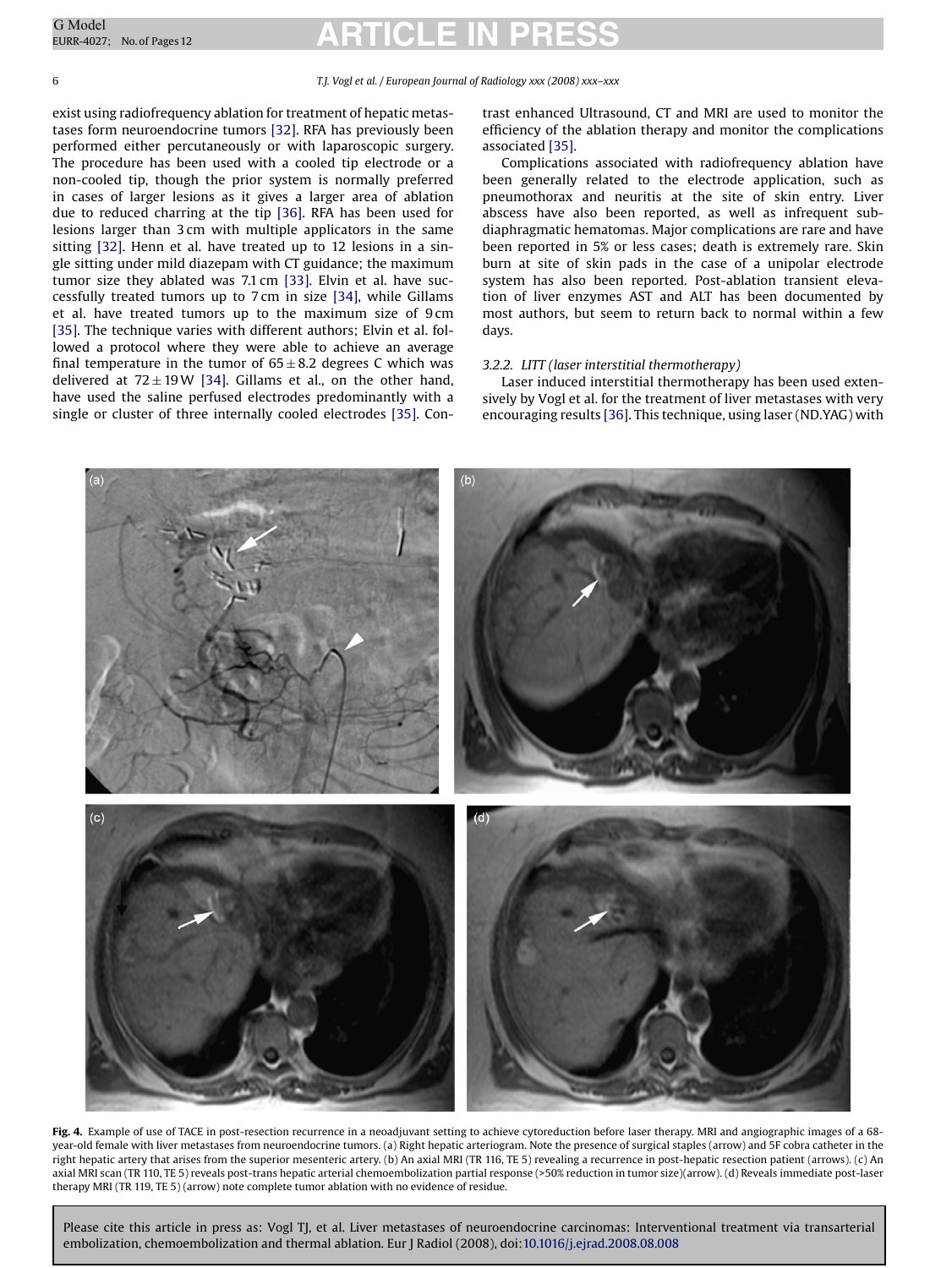<span id="page-5-0"></span>6 *T.J. Vogl et al. / European Journal of Radiology xxx (2008) xxx–xxx*

exist using radiofrequency ablation for treatment of hepatic metastases form neuroendocrine tumors [\[32\]. R](#page-10-0)FA has previously been performed either percutaneously or with laparoscopic surgery. The procedure has been used with a cooled tip electrode or a non-cooled tip, though the prior system is normally preferred in cases of larger lesions as it gives a larger area of ablation due to reduced charring at the tip [\[36\].](#page-10-0) RFA has been used for lesions larger than 3 cm with multiple applicators in the same sitting [\[32\].](#page-10-0) Henn et al. have treated up to 12 lesions in a single sitting under mild diazepam with CT guidance; the maximum tumor size they ablated was 7.1 cm [\[33\].](#page-10-0) Elvin et al. have successfully treated tumors up to 7 cm in size [\[34\],](#page-10-0) while Gillams et al. have treated tumors up to the maximum size of 9 cm [\[35\].](#page-10-0) The technique varies with different authors; Elvin et al. followed a protocol where they were able to achieve an average final temperature in the tumor of  $65 \pm 8.2$  degrees C which was delivered at  $72 \pm 19W$  [\[34\].](#page-10-0) Gillams et al., on the other hand, have used the saline perfused electrodes predominantly with a single or cluster of three internally cooled electrodes [\[35\]. C](#page-10-0)ontrast enhanced Ultrasound, CT and MRI are used to monitor the efficiency of the ablation therapy and monitor the complications associated [\[35\].](#page-10-0)

Complications associated with radiofrequency ablation have been generally related to the electrode application, such as pneumothorax and neuritis at the site of skin entry. Liver abscess have also been reported, as well as infrequent subdiaphragmatic hematomas. Major complications are rare and have been reported in 5% or less cases; death is extremely rare. Skin burn at site of skin pads in the case of a unipolar electrode system has also been reported. Post-ablation transient elevation of liver enzymes AST and ALT has been documented by most authors, but seem to return back to normal within a few days.

#### *3.2.2. LITT (laser interstitial thermotherapy)*

Laser induced interstitial thermotherapy has been used extensively by Vogl et al. for the treatment of liver metastases with very encouraging results [\[36\]. T](#page-10-0)his technique, using laser (ND.YAG) with



**Fig. 4.** Example of use of TACE in post-resection recurrence in a neoadjuvant setting to achieve cytoreduction before laser therapy. MRI and angiographic images of a 68 year-old female with liver metastases from neuroendocrine tumors. (a) Right hepatic arteriogram. Note the presence of surgical staples (arrow) and 5F cobra catheter in the right hepatic artery that arises from the superior mesenteric artery. (b) An axial MRI (TR 116, TE 5) revealing a recurrence in post-hepatic resection patient (arrows). (c) An axial MRI scan (TR 110, TE 5) reveals post-trans hepatic arterial chemoembolization partial response (>50% reduction in tumor size)(arrow). (d) Reveals immediate post-laser therapy MRI (TR 119, TE 5) (arrow) note complete tumor ablation with no evidence of residue.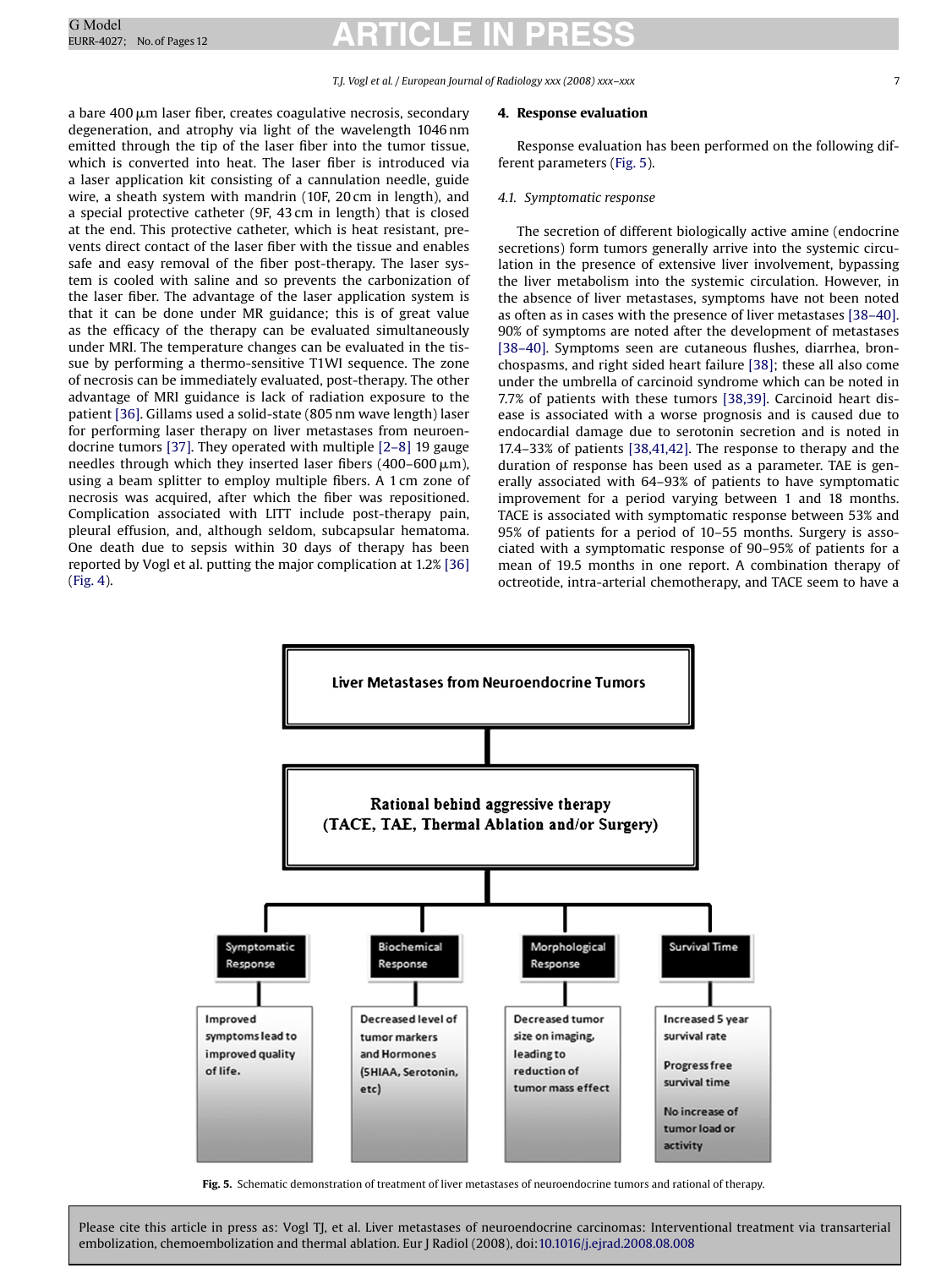a bare 400 µm laser fiber, creates coagulative necrosis, secondary degeneration, and atrophy via light of the wavelength 1046 nm emitted through the tip of the laser fiber into the tumor tissue, which is converted into heat. The laser fiber is introduced via a laser application kit consisting of a cannulation needle, guide wire, a sheath system with mandrin (10F, 20 cm in length), and a special protective catheter (9F, 43 cm in length) that is closed at the end. This protective catheter, which is heat resistant, prevents direct contact of the laser fiber with the tissue and enables safe and easy removal of the fiber post-therapy. The laser system is cooled with saline and so prevents the carbonization of the laser fiber. The advantage of the laser application system is that it can be done under MR guidance; this is of great value as the efficacy of the therapy can be evaluated simultaneously under MRI. The temperature changes can be evaluated in the tissue by performing a thermo-sensitive T1WI sequence. The zone of necrosis can be immediately evaluated, post-therapy. The other advantage of MRI guidance is lack of radiation exposure to the patient [\[36\]. G](#page-10-0)illams used a solid-state (805 nm wave length) laser for performing laser therapy on liver metastases from neuroendocrine tumors [\[37\]. T](#page-10-0)hey operated with multiple [\[2–8\]](#page-10-0) 19 gauge needles through which they inserted laser fibers (400–600  $\mu$ m), using a beam splitter to employ multiple fibers. A 1 cm zone of necrosis was acquired, after which the fiber was repositioned. Complication associated with LITT include post-therapy pain, pleural effusion, and, although seldom, subcapsular hematoma. One death due to sepsis within 30 days of therapy has been reported by Vogl et al. putting the major complication at 1.2% [\[36\]](#page-10-0) ([Fig. 4\).](#page-5-0)

#### **4. Response evaluation**

Response evaluation has been performed on the following different parameters (Fig. 5).

#### *4.1. Symptomatic response*

The secretion of different biologically active amine (endocrine secretions) form tumors generally arrive into the systemic circulation in the presence of extensive liver involvement, bypassing the liver metabolism into the systemic circulation. However, in the absence of liver metastases, symptoms have not been noted as often as in cases with the presence of liver metastases [\[38–40\].](#page-10-0) 90% of symptoms are noted after the development of metastases [\[38–40\].](#page-10-0) Symptoms seen are cutaneous flushes, diarrhea, bronchospasms, and right sided heart failure [\[38\];](#page-10-0) these all also come under the umbrella of carcinoid syndrome which can be noted in 7.7% of patients with these tumors [\[38,39\].](#page-10-0) Carcinoid heart disease is associated with a worse prognosis and is caused due to endocardial damage due to serotonin secretion and is noted in 17.4–33% of patients [\[38,41,42\]. T](#page-10-0)he response to therapy and the duration of response has been used as a parameter. TAE is generally associated with 64–93% of patients to have symptomatic improvement for a period varying between 1 and 18 months. TACE is associated with symptomatic response between 53% and 95% of patients for a period of 10–55 months. Surgery is associated with a symptomatic response of 90–95% of patients for a mean of 19.5 months in one report. A combination therapy of octreotide, intra-arterial chemotherapy, and TACE seem to have a



**Fig. 5.** Schematic demonstration of treatment of liver metastases of neuroendocrine tumors and rational of therapy.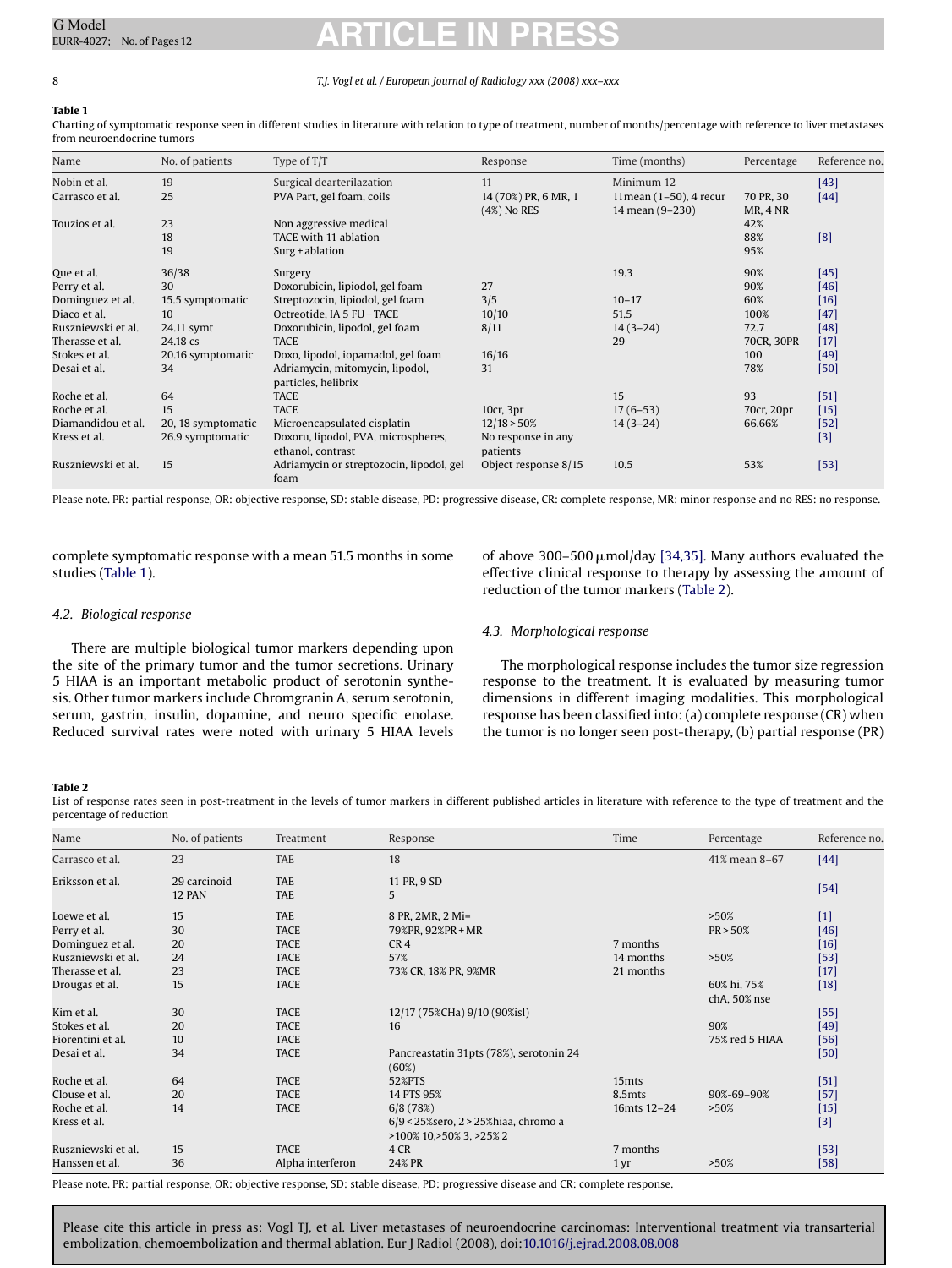#### 8 *T.J. Vogl et al. / European Journal of Radiology xxx (2008) xxx–xxx*

#### **Table 1**

Charting of symptomatic response seen in different studies in literature with relation to type of treatment, number of months/percentage with reference to liver metastases from neuroendocrine tumors

| Name               | No. of patients    | Type of T/T                                            | Response                            | Time (months)                              | Percentage                   | Reference no. |
|--------------------|--------------------|--------------------------------------------------------|-------------------------------------|--------------------------------------------|------------------------------|---------------|
| Nobin et al.       | 19                 | Surgical dearterilazation                              | 11                                  | Minimum 12                                 |                              | $[43]$        |
| Carrasco et al.    | 25                 | PVA Part, gel foam, coils                              | 14 (70%) PR, 6 MR, 1<br>(4%) No RES | 11 mean (1-50), 4 recur<br>14 mean (9-230) | 70 PR, 30<br><b>MR, 4 NR</b> | $[44]$        |
| Touzios et al.     | 23                 | Non aggressive medical                                 |                                     |                                            | 42%                          |               |
|                    | 18                 | TACE with 11 ablation                                  |                                     |                                            | 88%                          | [8]           |
|                    | 19                 | $Surg + ablation$                                      |                                     |                                            | 95%                          |               |
| Que et al.         | 36/38              | Surgery                                                |                                     | 19.3                                       | 90%                          | [45]          |
| Perry et al.       | 30                 | Doxorubicin, lipiodol, gel foam                        | 27                                  |                                            | 90%                          | [46]          |
| Dominguez et al.   | 15.5 symptomatic   | Streptozocin, lipiodol, gel foam                       | 3/5                                 | $10 - 17$                                  | 60%                          | $[16]$        |
| Diaco et al.       | 10                 | Octreotide, IA 5 FU + TACE                             | 10/10                               | 51.5                                       | 100%                         | [47]          |
| Ruszniewski et al. | 24.11 symt         | Doxorubicin, lipodol, gel foam                         | 8/11                                | $14(3-24)$                                 | 72.7                         | [48]          |
| Therasse et al.    | 24.18 cs           | <b>TACE</b>                                            |                                     | 29                                         | 70CR, 30PR                   | $[17]$        |
| Stokes et al.      | 20.16 symptomatic  | Doxo, lipodol, iopamadol, gel foam                     | 16/16                               |                                            | 100                          | $[49]$        |
| Desai et al.       | 34                 | Adriamycin, mitomycin, lipodol,<br>particles, helibrix | 31                                  |                                            | 78%                          | $[50]$        |
| Roche et al.       | 64                 | <b>TACE</b>                                            |                                     | 15                                         | 93                           | [51]          |
| Roche et al.       | 15                 | <b>TACE</b>                                            | 10cr, 3pr                           | $17(6-53)$                                 | 70cr, 20pr                   | $[15]$        |
| Diamandidou et al. | 20, 18 symptomatic | Microencapsulated cisplatin                            | 12/18 > 50%                         | $14(3-24)$                                 | 66.66%                       | $[52]$        |
| Kress et al.       | 26.9 symptomatic   | Doxoru, lipodol, PVA, microspheres,                    | No response in any                  |                                            |                              | $[3]$         |
|                    |                    | ethanol, contrast                                      | patients                            |                                            |                              |               |
| Ruszniewski et al. | 15                 | Adriamycin or streptozocin, lipodol, gel<br>foam       | Object response 8/15                | 10.5                                       | 53%                          | $[53]$        |

Please note. PR: partial response, OR: objective response, SD: stable disease, PD: progressive disease, CR: complete response, MR: minor response and no RES: no response.

complete symptomatic response with a mean 51.5 months in some studies (Table 1).

of above 300–500  $\mu$ mol/day [\[34,35\]. M](#page-10-0)any authors evaluated the effective clinical response to therapy by assessing the amount of reduction of the tumor markers (Table 2).

#### *4.2. Biological response*

There are multiple biological tumor markers depending upon the site of the primary tumor and the tumor secretions. Urinary 5 HIAA is an important metabolic product of serotonin synthesis. Other tumor markers include Chromgranin A, serum serotonin, serum, gastrin, insulin, dopamine, and neuro specific enolase. Reduced survival rates were noted with urinary 5 HIAA levels

#### *4.3. Morphological response*

The morphological response includes the tumor size regression response to the treatment. It is evaluated by measuring tumor dimensions in different imaging modalities. This morphological response has been classified into: (a) complete response (CR) when the tumor is no longer seen post-therapy, (b) partial response (PR)

#### **Table 2**

List of response rates seen in post-treatment in the levels of tumor markers in different published articles in literature with reference to the type of treatment and the percentage of reduction

| Name               | No. of patients | Treatment        | Response                                | Time              | Percentage     | Reference no. |
|--------------------|-----------------|------------------|-----------------------------------------|-------------------|----------------|---------------|
| Carrasco et al.    | 23              | <b>TAE</b>       | 18                                      |                   | 41% mean 8-67  | $[44]$        |
| Eriksson et al.    | 29 carcinoid    | <b>TAE</b>       | 11 PR, 9 SD                             |                   |                | $[54]$        |
|                    | 12 PAN          | <b>TAE</b>       | 5                                       |                   |                |               |
| Loewe et al.       | 15              | <b>TAE</b>       | 8 PR, 2MR, 2 Mi=                        |                   | >50%           | $[1]$         |
| Perry et al.       | 30              | <b>TACE</b>      | 79%PR, 92%PR + MR                       |                   | PR > 50%       | [46]          |
| Dominguez et al.   | 20              | <b>TACE</b>      | CR <sub>4</sub>                         | 7 months          |                | $[16]$        |
| Ruszniewski et al. | 24              | <b>TACE</b>      | 57%                                     | 14 months         | >50%           | $[53]$        |
| Therasse et al.    | 23              | <b>TACE</b>      | 73% CR, 18% PR, 9%MR                    | 21 months         |                | $[17]$        |
| Drougas et al.     | 15              | <b>TACE</b>      |                                         |                   | 60% hi, 75%    | $[18]$        |
|                    |                 |                  |                                         |                   | chA, 50% nse   |               |
| Kim et al.         | 30              | <b>TACE</b>      | 12/17 (75%CHa) 9/10 (90%isl)            |                   |                | $[55]$        |
| Stokes et al.      | 20              | <b>TACE</b>      | 16                                      |                   | 90%            | $[49]$        |
| Fiorentini et al.  | 10              | <b>TACE</b>      |                                         |                   | 75% red 5 HIAA | $[56]$        |
| Desai et al.       | 34              | <b>TACE</b>      | Pancreastatin 31pts (78%), serotonin 24 |                   |                | $[50]$        |
|                    |                 |                  | (60%)                                   |                   |                |               |
| Roche et al.       | 64              | <b>TACE</b>      | 52%PTS                                  | 15 <sub>mts</sub> |                | $[51]$        |
| Clouse et al.      | 20              | <b>TACE</b>      | 14 PTS 95%                              | 8.5mts            | 90%-69-90%     | $[57]$        |
| Roche et al.       | 14              | <b>TACE</b>      | 6/8(78%)                                | 16mts 12-24       | >50%           | $[15]$        |
| Kress et al.       |                 |                  | 6/9 < 25% sero, 2 > 25% hiaa, chromo a  |                   |                | $[3]$         |
|                    |                 |                  | >100% 10, > 50% 3, > 25% 2              |                   |                |               |
| Ruszniewski et al. | 15              | <b>TACE</b>      | 4 CR                                    | 7 months          |                | $[53]$        |
| Hanssen et al.     | 36              | Alpha interferon | 24% PR                                  | 1 <sub>yr</sub>   | >50%           | $[58]$        |

Please note. PR: partial response, OR: objective response, SD: stable disease, PD: progressive disease and CR: complete response.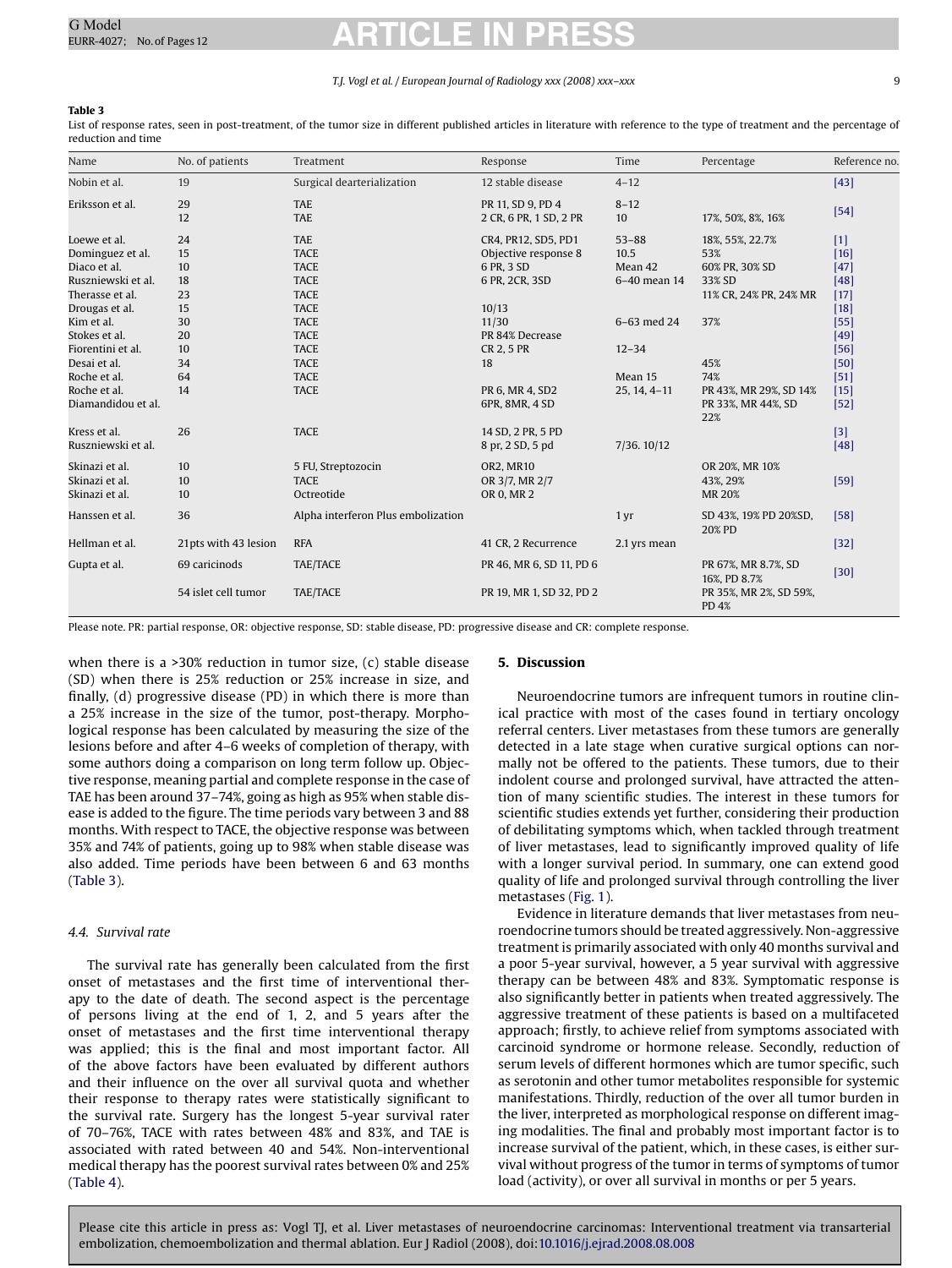#### *T.J. Vogl et al. / European Journal of Radiology xxx (2008) xxx–xxx* 9

#### **Table 3**

List of response rates, seen in post-treatment, of the tumor size in different published articles in literature with reference to the type of treatment and the percentage of reduction and time

| Name               | No. of patients      | Treatment                          | Response                                    | Time            | Percentage                          | Reference no. |
|--------------------|----------------------|------------------------------------|---------------------------------------------|-----------------|-------------------------------------|---------------|
| Nobin et al.       | 19                   | Surgical dearterialization         | 12 stable disease                           | $4 - 12$        |                                     | [43]          |
| Eriksson et al.    | 29<br>12             | <b>TAE</b><br><b>TAE</b>           | PR 11, SD 9, PD 4<br>2 CR, 6 PR, 1 SD, 2 PR | $8 - 12$<br>10  | 17%, 50%, 8%, 16%                   | $[54]$        |
| Loewe et al.       | 24                   | <b>TAE</b>                         | CR4, PR12, SD5, PD1                         | $53 - 88$       | 18%, 55%, 22.7%                     | $[1]$         |
| Dominguez et al.   | 15                   | <b>TACE</b>                        | Objective response 8                        | 10.5            | 53%                                 | $[16]$        |
| Diaco et al.       | 10                   | <b>TACE</b>                        | 6 PR, 3 SD                                  | Mean 42         | 60% PR, 30% SD                      | $[47]$        |
| Ruszniewski et al. | 18                   | <b>TACE</b>                        | 6 PR, 2CR, 3SD                              | 6-40 mean 14    | 33% SD                              | [48]          |
| Therasse et al.    | 23                   | <b>TACE</b>                        |                                             |                 | 11% CR, 24% PR, 24% MR              | $[17]$        |
| Drougas et al.     | 15                   | <b>TACE</b>                        | 10/13                                       |                 |                                     | $[18]$        |
| Kim et al.         | 30                   | <b>TACE</b>                        | 11/30                                       | 6-63 med 24     | 37%                                 | $[55]$        |
| Stokes et al.      | 20                   | <b>TACE</b>                        | PR 84% Decrease                             |                 |                                     | [49]          |
| Fiorentini et al.  | 10                   | <b>TACE</b>                        | CR 2, 5 PR                                  | $12 - 34$       |                                     | $[56]$        |
| Desai et al.       | 34                   | <b>TACE</b>                        | 18                                          |                 | 45%                                 | [50]          |
| Roche et al.       | 64                   | <b>TACE</b>                        |                                             | Mean 15         | 74%                                 | [51]          |
| Roche et al.       | 14                   | <b>TACE</b>                        | PR 6, MR 4, SD2                             | $25, 14, 4-11$  | PR 43%, MR 29%, SD 14%              | $[15]$        |
| Diamandidou et al. |                      |                                    | 6PR, 8MR, 4 SD                              |                 | PR 33%, MR 44%, SD<br>22%           | $[52]$        |
| Kress et al.       | 26                   | <b>TACE</b>                        | 14 SD, 2 PR, 5 PD                           |                 |                                     | $[3]$         |
| Ruszniewski et al. |                      |                                    | 8 pr, 2 SD, 5 pd                            | 7/36.10/12      |                                     | $[48]$        |
| Skinazi et al.     | 10                   | 5 FU, Streptozocin                 | <b>OR2. MR10</b>                            |                 | OR 20%, MR 10%                      |               |
| Skinazi et al.     | 10                   | <b>TACE</b>                        | OR 3/7, MR 2/7                              |                 | 43%, 29%                            | $[59]$        |
| Skinazi et al.     | 10                   | Octreotide                         | OR 0, MR 2                                  |                 | <b>MR 20%</b>                       |               |
| Hanssen et al.     | 36                   | Alpha interferon Plus embolization |                                             | 1 <sub>yr</sub> | SD 43%, 19% PD 20%SD,<br>20% PD     | $[58]$        |
| Hellman et al.     | 21pts with 43 lesion | <b>RFA</b>                         | 41 CR, 2 Recurrence                         | 2.1 yrs mean    |                                     | $[32]$        |
| Gupta et al.       | 69 caricinods        | TAE/TACE                           | PR 46, MR 6, SD 11, PD 6                    |                 | PR 67%, MR 8.7%, SD<br>16%, PD 8.7% | $[30]$        |
|                    | 54 islet cell tumor  | <b>TAE/TACE</b>                    | PR 19, MR 1, SD 32, PD 2                    |                 | PR 35%, MR 2%, SD 59%,<br>PD 4%     |               |

Please note. PR: partial response, OR: objective response, SD: stable disease, PD: progressive disease and CR: complete response.

when there is a >30% reduction in tumor size, (c) stable disease (SD) when there is 25% reduction or 25% increase in size, and finally, (d) progressive disease (PD) in which there is more than a 25% increase in the size of the tumor, post-therapy. Morphological response has been calculated by measuring the size of the lesions before and after 4–6 weeks of completion of therapy, with some authors doing a comparison on long term follow up. Objective response, meaning partial and complete response in the case of TAE has been around 37–74%, going as high as 95% when stable disease is added to the figure. The time periods vary between 3 and 88 months. With respect to TACE, the objective response was between 35% and 74% of patients, going up to 98% when stable disease was also added. Time periods have been between 6 and 63 months (Table 3).

#### *4.4. Survival rate*

The survival rate has generally been calculated from the first onset of metastases and the first time of interventional therapy to the date of death. The second aspect is the percentage of persons living at the end of 1, 2, and 5 years after the onset of metastases and the first time interventional therapy was applied; this is the final and most important factor. All of the above factors have been evaluated by different authors and their influence on the over all survival quota and whether their response to therapy rates were statistically significant to the survival rate. Surgery has the longest 5-year survival rater of 70–76%, TACE with rates between 48% and 83%, and TAE is associated with rated between 40 and 54%. Non-interventional medical therapy has the poorest survival rates between 0% and 25% ([Table 4\).](#page-9-0)

#### **5. Discussion**

Neuroendocrine tumors are infrequent tumors in routine clinical practice with most of the cases found in tertiary oncology referral centers. Liver metastases from these tumors are generally detected in a late stage when curative surgical options can normally not be offered to the patients. These tumors, due to their indolent course and prolonged survival, have attracted the attention of many scientific studies. The interest in these tumors for scientific studies extends yet further, considering their production of debilitating symptoms which, when tackled through treatment of liver metastases, lead to significantly improved quality of life with a longer survival period. In summary, one can extend good quality of life and prolonged survival through controlling the liver metastases ([Fig. 1\).](#page-2-0)

Evidence in literature demands that liver metastases from neuroendocrine tumors should be treated aggressively. Non-aggressive treatment is primarily associated with only 40 months survival and a poor 5-year survival, however, a 5 year survival with aggressive therapy can be between 48% and 83%. Symptomatic response is also significantly better in patients when treated aggressively. The aggressive treatment of these patients is based on a multifaceted approach; firstly, to achieve relief from symptoms associated with carcinoid syndrome or hormone release. Secondly, reduction of serum levels of different hormones which are tumor specific, such as serotonin and other tumor metabolites responsible for systemic manifestations. Thirdly, reduction of the over all tumor burden in the liver, interpreted as morphological response on different imaging modalities. The final and probably most important factor is to increase survival of the patient, which, in these cases, is either survival without progress of the tumor in terms of symptoms of tumor load (activity), or over all survival in months or per 5 years.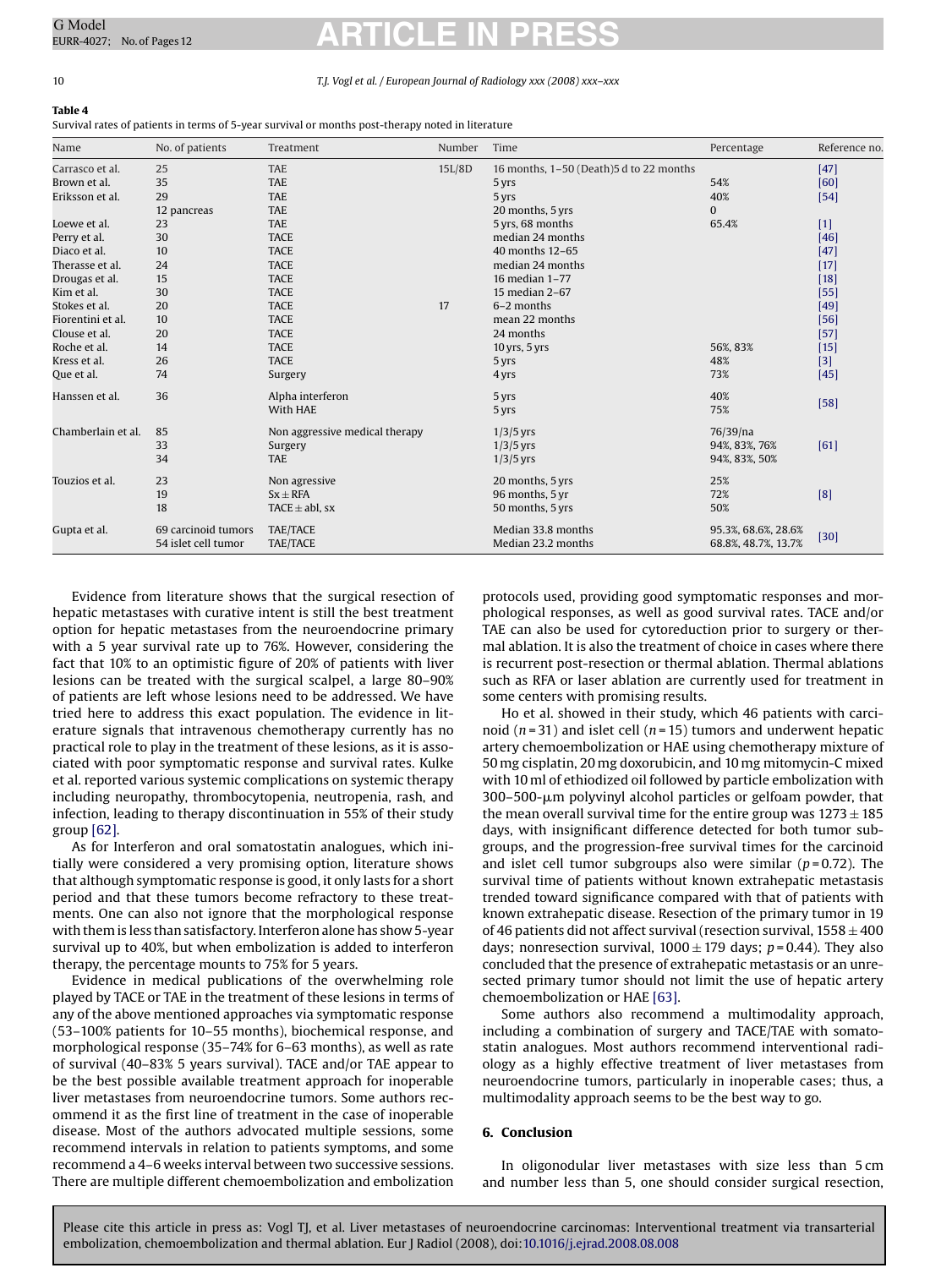#### <span id="page-9-0"></span>10 *T.J. Vogl et al. / European Journal of Radiology xxx (2008) xxx–xxx*

### **Table 4**

Survival rates of patients in terms of 5-year survival or months post-therapy noted in literature

| Name               | No. of patients     | Treatment                      | Number | Time                                    | Percentage          | Reference no. |
|--------------------|---------------------|--------------------------------|--------|-----------------------------------------|---------------------|---------------|
| Carrasco et al.    | 25                  | <b>TAE</b>                     | 15L/8D | 16 months, 1-50 (Death)5 d to 22 months |                     | $[47]$        |
| Brown et al.       | 35                  | <b>TAE</b>                     |        | 5 yrs                                   | 54%                 | [60]          |
| Eriksson et al.    | 29                  | <b>TAE</b>                     |        | 5 yrs                                   | 40%                 | $[54]$        |
|                    | 12 pancreas         | <b>TAE</b>                     |        | 20 months, 5 yrs                        | $\mathbf{0}$        |               |
| Loewe et al.       | 23                  | <b>TAE</b>                     |        | 5 yrs, 68 months                        | 65.4%               | $[1]$         |
| Perry et al.       | 30                  | <b>TACE</b>                    |        | median 24 months                        |                     | $[46]$        |
| Diaco et al.       | 10                  | <b>TACE</b>                    |        | 40 months 12-65                         |                     | $[47]$        |
| Therasse et al.    | 24                  | <b>TACE</b>                    |        | median 24 months                        |                     | $[17]$        |
| Drougas et al.     | 15                  | <b>TACE</b>                    |        | 16 median 1-77                          |                     | $[18]$        |
| Kim et al.         | 30                  | <b>TACE</b>                    |        | 15 median 2-67                          |                     | $[55]$        |
| Stokes et al.      | 20                  | <b>TACE</b>                    | 17     | 6-2 months                              |                     | $[49]$        |
| Fiorentini et al.  | 10                  | <b>TACE</b>                    |        | mean 22 months                          |                     | $[56]$        |
| Clouse et al.      | 20                  | <b>TACE</b>                    |        | 24 months                               |                     | $[57]$        |
| Roche et al.       | 14                  | <b>TACE</b>                    |        | $10$ yrs, $5$ yrs                       | 56%, 83%            | $[15]$        |
| Kress et al.       | 26                  | <b>TACE</b>                    |        | 5 yrs                                   | 48%                 | $[3]$         |
| Que et al.         | 74                  | Surgery                        |        | 4 yrs                                   | 73%                 | $[45]$        |
| Hanssen et al.     | 36                  | Alpha interferon               |        | 5 yrs                                   | 40%                 |               |
|                    |                     | With HAE                       |        | 5 yrs                                   | 75%                 | $[58]$        |
| Chamberlain et al. | 85                  | Non aggressive medical therapy |        | $1/3/5$ yrs                             | 76/39/na            |               |
|                    | 33                  | Surgery                        |        | $1/3/5$ yrs                             | 94%, 83%, 76%       | [61]          |
|                    | 34                  | <b>TAE</b>                     |        | $1/3/5$ yrs                             | 94%, 83%, 50%       |               |
| Touzios et al.     | 23                  | Non agressive                  |        | 20 months, 5 yrs                        | 25%                 |               |
|                    | 19                  | $Sx \pm RFA$                   |        | 96 months, 5 yr                         | 72%                 | [8]           |
|                    | 18                  | TACE $\pm$ abl, sx             |        | 50 months, 5 yrs                        | 50%                 |               |
| Gupta et al.       | 69 carcinoid tumors | TAE/TACE                       |        | Median 33.8 months                      | 95.3%, 68.6%, 28.6% |               |
|                    | 54 islet cell tumor | TAE/TACE                       |        | Median 23.2 months                      | 68.8%, 48.7%, 13.7% | $[30]$        |

Evidence from literature shows that the surgical resection of hepatic metastases with curative intent is still the best treatment option for hepatic metastases from the neuroendocrine primary with a 5 year survival rate up to 76%. However, considering the fact that 10% to an optimistic figure of 20% of patients with liver lesions can be treated with the surgical scalpel, a large 80–90% of patients are left whose lesions need to be addressed. We have tried here to address this exact population. The evidence in literature signals that intravenous chemotherapy currently has no practical role to play in the treatment of these lesions, as it is associated with poor symptomatic response and survival rates. Kulke et al. reported various systemic complications on systemic therapy including neuropathy, thrombocytopenia, neutropenia, rash, and infection, leading to therapy discontinuation in 55% of their study group [\[62\].](#page-11-0)

As for Interferon and oral somatostatin analogues, which initially were considered a very promising option, literature shows that although symptomatic response is good, it only lasts for a short period and that these tumors become refractory to these treatments. One can also not ignore that the morphological response with them is less than satisfactory. Interferon alone has show 5-year survival up to 40%, but when embolization is added to interferon therapy, the percentage mounts to 75% for 5 years.

Evidence in medical publications of the overwhelming role played by TACE or TAE in the treatment of these lesions in terms of any of the above mentioned approaches via symptomatic response (53–100% patients for 10–55 months), biochemical response, and morphological response (35–74% for 6–63 months), as well as rate of survival (40–83% 5 years survival). TACE and/or TAE appear to be the best possible available treatment approach for inoperable liver metastases from neuroendocrine tumors. Some authors recommend it as the first line of treatment in the case of inoperable disease. Most of the authors advocated multiple sessions, some recommend intervals in relation to patients symptoms, and some recommend a 4–6 weeks interval between two successive sessions. There are multiple different chemoembolization and embolization protocols used, providing good symptomatic responses and morphological responses, as well as good survival rates. TACE and/or TAE can also be used for cytoreduction prior to surgery or thermal ablation. It is also the treatment of choice in cases where there is recurrent post-resection or thermal ablation. Thermal ablations such as RFA or laser ablation are currently used for treatment in some centers with promising results.

Ho et al. showed in their study, which 46 patients with carcinoid (*n* = 31) and islet cell (*n* = 15) tumors and underwent hepatic artery chemoembolization or HAE using chemotherapy mixture of 50 mg cisplatin, 20 mg doxorubicin, and 10 mg mitomycin-C mixed with 10 ml of ethiodized oil followed by particle embolization with 300–500-µm polyvinyl alcohol particles or gelfoam powder, that the mean overall survival time for the entire group was  $1273 \pm 185$ days, with insignificant difference detected for both tumor subgroups, and the progression-free survival times for the carcinoid and islet cell tumor subgroups also were similar  $(p=0.72)$ . The survival time of patients without known extrahepatic metastasis trended toward significance compared with that of patients with known extrahepatic disease. Resection of the primary tumor in 19 of 46 patients did not affect survival (resection survival,  $1558 \pm 400$ days; nonresection survival,  $1000 \pm 179$  days;  $p = 0.44$ ). They also concluded that the presence of extrahepatic metastasis or an unresected primary tumor should not limit the use of hepatic artery chemoembolization or HAE [\[63\].](#page-11-0)

Some authors also recommend a multimodality approach, including a combination of surgery and TACE/TAE with somatostatin analogues. Most authors recommend interventional radiology as a highly effective treatment of liver metastases from neuroendocrine tumors, particularly in inoperable cases; thus, a multimodality approach seems to be the best way to go.

#### **6. Conclusion**

In oligonodular liver metastases with size less than 5 cm and number less than 5, one should consider surgical resection,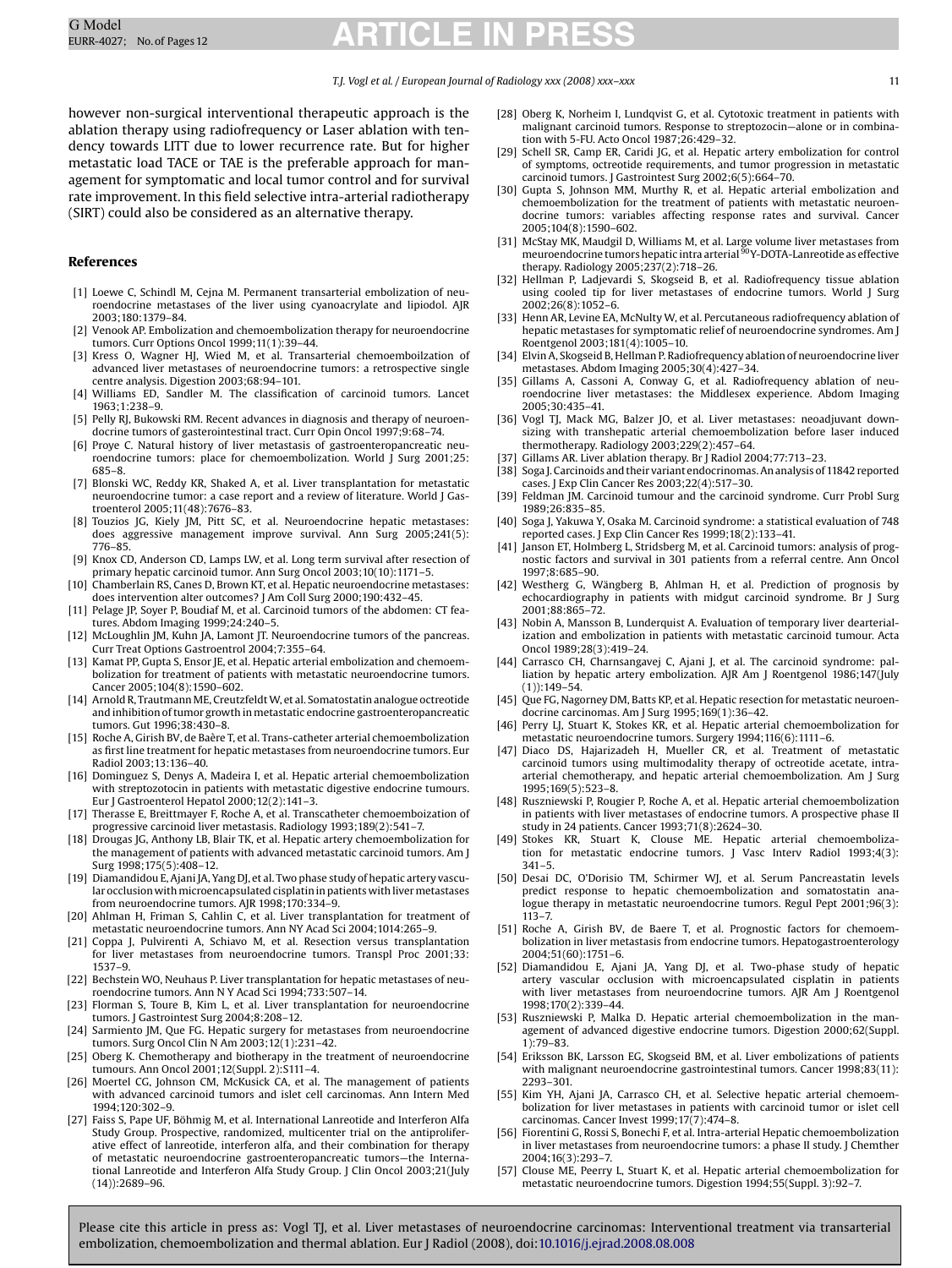#### *T.J. Vogl et al. / European Journal of Radiology xxx (2008) xxx–xxx* 11

<span id="page-10-0"></span>however non-surgical interventional therapeutic approach is the ablation therapy using radiofrequency or Laser ablation with tendency towards LITT due to lower recurrence rate. But for higher metastatic load TACE or TAE is the preferable approach for management for symptomatic and local tumor control and for survival rate improvement. In this field selective intra-arterial radiotherapy (SIRT) could also be considered as an alternative therapy.

#### **References**

- [1] Loewe C, Schindl M, Cejna M. Permanent transarterial embolization of neuroendocrine metastases of the liver using cyanoacrylate and lipiodol. AJR 2003;180:1379–84.
- [2] Venook AP. Embolization and chemoembolization therapy for neuroendocrine tumors. Curr Options Oncol 1999;11(1):39–44.
- [3] Kress O, Wagner HJ, Wied M, et al. Transarterial chemoemboilzation of advanced liver metastases of neuroendocrine tumors: a retrospective single centre analysis. Digestion 2003;68:94–101.
- [4] Williams ED, Sandler M. The classification of carcinoid tumors. Lancet 1963;1:238–9.
- [5] Pelly RJ, Bukowski RM. Recent advances in diagnosis and therapy of neuroendocrine tumors of gasterointestinal tract. Curr Opin Oncol 1997;9:68–74.
- [6] Proye C. Natural history of liver metastasis of gastroenteropancreatic neuroendocrine tumors: place for chemoembolization. World J Surg 2001;25: 685–8.
- [7] Blonski WC, Reddy KR, Shaked A, et al. Liver transplantation for metastatic neuroendocrine tumor: a case report and a review of literature. World J Gastroenterol 2005;11(48):7676–83.
- [8] Touzios JG, Kiely JM, Pitt SC, et al. Neuroendocrine hepatic metastases: does aggressive management improve survival. Ann Surg 2005;241(5): 776–85.
- [9] Knox CD, Anderson CD, Lamps LW, et al. Long term survival after resection of primary hepatic carcinoid tumor. Ann Surg Oncol 2003;10(10):1171–5.
- [10] Chamberlain RS, Canes D, Brown KT, et al. Hepatic neuroendocrine metastases: does intervention alter outcomes? J Am Coll Surg 2000;190:432–45.
- [11] Pelage JP, Soyer P, Boudiaf M, et al. Carcinoid tumors of the abdomen: CT features. Abdom Imaging 1999;24:240–5.
- [12] McLoughlin JM, Kuhn JA, Lamont JT. Neuroendocrine tumors of the pancreas. Curr Treat Options Gastroentrol 2004;7:355–64.
- [13] Kamat PP, Gupta S, Ensor JE, et al. Hepatic arterial embolization and chemoembolization for treatment of patients with metastatic neuroendocrine tumors. Cancer 2005;104(8):1590–602.
- [14] Arnold R, Trautmann ME, CreutzfeldtW, et al. Somatostatin analogue octreotide and inhibition of tumor growth in metastatic endocrine gastroenteropancreatic tumors. Gut 1996;38:430–8.
- [15] Roche A, Girish BV, de Baère T, et al. Trans-catheter arterial chemoembolization as first line treatment for hepatic metastases from neuroendocrine tumors. Eur Radiol 2003;13:136–40.
- [16] Dominguez S, Denys A, Madeira I, et al. Hepatic arterial chemoembolization with streptozotocin in patients with metastatic digestive endocrine tumours. Eur J Gastroenterol Hepatol 2000;12(2):141–3.
- [17] Therasse E, Breittmayer F, Roche A, et al. Transcatheter chemoemboization of progressive carcinoid liver metastasis. Radiology 1993;189(2):541–7.
- [18] Drougas JG, Anthony LB, Blair TK, et al. Hepatic artery chemoembolization for the management of patients with advanced metastatic carcinoid tumors. Am J Surg 1998;175(5):408–12.
- [19] Diamandidou E, Ajani JA, Yang DJ, et al. Two phase study of hepatic artery vascular occlusion with microencapsulated cisplatin in patients with liver metastases from neuroendocrine tumors. AJR 1998;170:334–9.
- [20] Ahlman H, Friman S, Cahlin C, et al. Liver transplantation for treatment of metastatic neuroendocrine tumors. Ann NY Acad Sci 2004;1014:265–9.
- [21] Coppa J, Pulvirenti A, Schiavo M, et al. Resection versus transplantation for liver metastases from neuroendocrine tumors. Transpl Proc 2001;33: 1537–9.
- [22] Bechstein WO, Neuhaus P. Liver transplantation for hepatic metastases of neuroendocrine tumors. Ann N Y Acad Sci 1994;733:507–14.
- [23] Florman S, Toure B, Kim L, et al. Liver transplantation for neuroendocrine tumors. J Gastrointest Surg 2004;8:208–12.
- [24] Sarmiento JM, Que FG. Hepatic surgery for metastases from neuroendocrine tumors. Surg Oncol Clin N Am 2003;12(1):231–42.
- [25] Oberg K. Chemotherapy and biotherapy in the treatment of neuroendocrine tumours. Ann Oncol 2001;12(Suppl. 2):S111–4.
- [26] Moertel CG, Johnson CM, McKusick CA, et al. The management of patients with advanced carcinoid tumors and islet cell carcinomas. Ann Intern Med 1994;120:302–9.
- [27] Faiss S, Pape UF, Böhmig M, et al. International Lanreotide and Interferon Alfa Study Group. Prospective, randomized, multicenter trial on the antiproliferative effect of lanreotide, interferon alfa, and their combination for therapy of metastatic neuroendocrine gastroenteropancreatic tumors—the International Lanreotide and Interferon Alfa Study Group. J Clin Oncol 2003;21(July (14)):2689–96.
- [28] Oberg K, Norheim I, Lundqvist G, et al. Cytotoxic treatment in patients with malignant carcinoid tumors. Response to streptozocin—alone or in combination with 5-FU. Acto Oncol 1987;26:429–32.
- [29] Schell SR, Camp ER, Caridi JG, et al. Hepatic artery embolization for control of symptoms, octreotide requirements, and tumor progression in metastatic carcinoid tumors. J Gastrointest Surg 2002;6(5):664–70.
- [30] Gupta S, Johnson MM, Murthy R, et al. Hepatic arterial embolization and chemoembolization for the treatment of patients with metastatic neuroendocrine tumors: variables affecting response rates and survival. Cancer 2005;104(8):1590–602.
- [31] McStay MK, Maudgil D, Williams M, et al. Large volume liver metastases from<br>meuroendocrine tumors hepatic intra arterial <sup>90</sup>Y-DOTA-Lanreotide as effective therapy. Radiology 2005;237(2):718–26.
- [32] Hellman P, Ladjevardi S, Skogseid B, et al. Radiofrequency tissue ablation using cooled tip for liver metastases of endocrine tumors. World J Surg 2002;26(8):1052–6.
- [33] Henn AR, Levine EA, McNulty W, et al. Percutaneous radiofrequency ablation of hepatic metastases for symptomatic relief of neuroendocrine syndromes. Am J Roentgenol 2003;181(4):1005–10.
- [34] Elvin A, Skogseid B, Hellman P. Radiofrequency ablation of neuroendocrine liver metastases. Abdom Imaging 2005;30(4):427–34.
- [35] Gillams A, Cassoni A, Conway G, et al. Radiofrequency ablation of neuroendocrine liver metastases: the Middlesex experience. Abdom Imaging 2005;30:435–41.
- [36] Vogl TJ, Mack MG, Balzer JO, et al. Liver metastases: neoadjuvant downsizing with transhepatic arterial chemoembolization before laser induced thermotherapy. Radiology 2003;229(2):457–64.
- Gillams AR. Liver ablation therapy. Br J Radiol 2004;77:713-23.
- [38] Soga J. Carcinoids and their variant endocrinomas. An analysis of 11842 reported cases. J Exp Clin Cancer Res 2003;22(4):517–30.
- [39] Feldman JM. Carcinoid tumour and the carcinoid syndrome. Curr Probl Surg 1989;26:835–85.
- [40] Soga J, Yakuwa Y, Osaka M. Carcinoid syndrome: a statistical evaluation of 748 reported cases. J Exp Clin Cancer Res 1999;18(2):133–41.
- [41] Janson ET, Holmberg L, Stridsberg M, et al. Carcinoid tumors: analysis of prognostic factors and survival in 301 patients from a referral centre. Ann Oncol 1997;8:685–90.
- [42] Westherg G, Wängberg B, Ahlman H, et al. Prediction of prognosis by echocardiography in patients with midgut carcinoid syndrome. Br J Surg 2001;88:865–72.
- [43] Nobin A, Mansson B, Lunderquist A. Evaluation of temporary liver dearterialization and embolization in patients with metastatic carcinoid tumour. Acta Oncol 1989;28(3):419–24.
- [44] Carrasco CH, Charnsangavej C, Ajani J, et al. The carcinoid syndrome: palliation by hepatic artery embolization. AJR Am J Roentgenol 1986;147(July (1)):149–54.
- [45] Que FG, Nagorney DM, Batts KP, et al. Hepatic resection for metastatic neuroendocrine carcinomas. Am J Surg 1995;169(1):36–42.
- [46] Perry LJ, Stuart K, Stokes KR, et al. Hepatic arterial chemoembolization for metastatic neuroendocrine tumors. Surgery 1994;116(6):1111–6.
- [47] Diaco DS, Hajarizadeh H, Mueller CR, et al. Treatment of metastatic carcinoid tumors using multimodality therapy of octreotide acetate, intraarterial chemotherapy, and hepatic arterial chemoembolization. Am J Surg 1995;169(5):523–8.
- [48] Ruszniewski P, Rougier P, Roche A, et al. Hepatic arterial chemoembolization in patients with liver metastases of endocrine tumors. A prospective phase II study in 24 patients. Cancer 1993;71(8):2624–30.
- [49] Stokes KR, Stuart K, Clouse ME. Hepatic arterial chemoembolization for metastatic endocrine tumors. J Vasc Interv Radiol 1993;4(3): 341–5.
- [50] Desai DC, O'Dorisio TM, Schirmer WJ, et al. Serum Pancreastatin levels predict response to hepatic chemoembolization and somatostatin analogue therapy in metastatic neuroendocrine tumors. Regul Pept 2001;96(3): 113–7.
- [51] Roche A, Girish BV, de Baere T, et al. Prognostic factors for chemoembolization in liver metastasis from endocrine tumors. Hepatogastroenterology 2004;51(60):1751–6.
- [52] Diamandidou E, Ajani JA, Yang DJ, et al. Two-phase study of hepatic artery vascular occlusion with microencapsulated cisplatin in patients with liver metastases from neuroendocrine tumors. AJR Am J Roentgenol 1998;170(2):339–44.
- [53] Ruszniewski P, Malka D. Hepatic arterial chemoembolization in the management of advanced digestive endocrine tumors. Digestion 2000;62(Suppl. 1):79–83.
- [54] Eriksson BK, Larsson EG, Skogseid BM, et al. Liver embolizations of patients with malignant neuroendocrine gastrointestinal tumors. Cancer 1998;83(11): 2293–301.
- [55] Kim YH, Ajani JA, Carrasco CH, et al. Selective hepatic arterial chemoembolization for liver metastases in patients with carcinoid tumor or islet cell carcinomas. Cancer Invest 1999;17(7):474–8.
- [56] Fiorentini G, Rossi S, Bonechi F, et al. Intra-arterial Hepatic chemoembolization in liver metastases from neuroendocrine tumors: a phase II study. J Chemther 2004;16(3):293–7.
- [57] Clouse ME, Peerry L, Stuart K, et al. Hepatic arterial chemoembolization for metastatic neuroendocrine tumors. Digestion 1994;55(Suppl. 3):92–7.